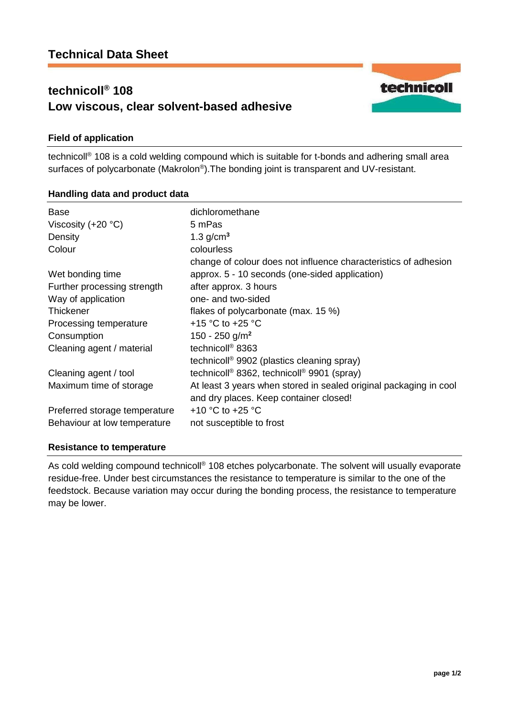# **technicoll® 108 Low viscous, clear solvent-based adhesive**



technicoll® 108 is a cold welding compound which is suitable for t-bonds and adhering small area surfaces of polycarbonate (Makrolon®). The bonding joint is transparent and UV-resistant.

## **Handling data and product data**

| Base<br>Viscosity $(+20 °C)$<br>Density<br>Colour | dichloromethane<br>5 mPas<br>1.3 $g/cm3$<br>colourless                                                            |
|---------------------------------------------------|-------------------------------------------------------------------------------------------------------------------|
| Wet bonding time                                  | change of colour does not influence characteristics of adhesion<br>approx. 5 - 10 seconds (one-sided application) |
| Further processing strength                       | after approx. 3 hours                                                                                             |
| Way of application                                | one- and two-sided                                                                                                |
| Thickener                                         | flakes of polycarbonate (max. 15 %)                                                                               |
| Processing temperature                            | +15 °C to +25 °C                                                                                                  |
| Consumption                                       | 150 - 250 g/m <sup>2</sup>                                                                                        |
| Cleaning agent / material                         | technicoll <sup>®</sup> 8363                                                                                      |
|                                                   | technicoll <sup>®</sup> 9902 (plastics cleaning spray)                                                            |
| Cleaning agent / tool                             | technicoll <sup>®</sup> 8362, technicoll <sup>®</sup> 9901 (spray)                                                |
| Maximum time of storage                           | At least 3 years when stored in sealed original packaging in cool<br>and dry places. Keep container closed!       |
| Preferred storage temperature                     | +10 °C to +25 °C                                                                                                  |
| Behaviour at low temperature                      | not susceptible to frost                                                                                          |

## **Resistance to temperature**

As cold welding compound technicoll® 108 etches polycarbonate. The solvent will usually evaporate residue-free. Under best circumstances the resistance to temperature is similar to the one of the feedstock. Because variation may occur during the bonding process, the resistance to temperature may be lower.

technicoll